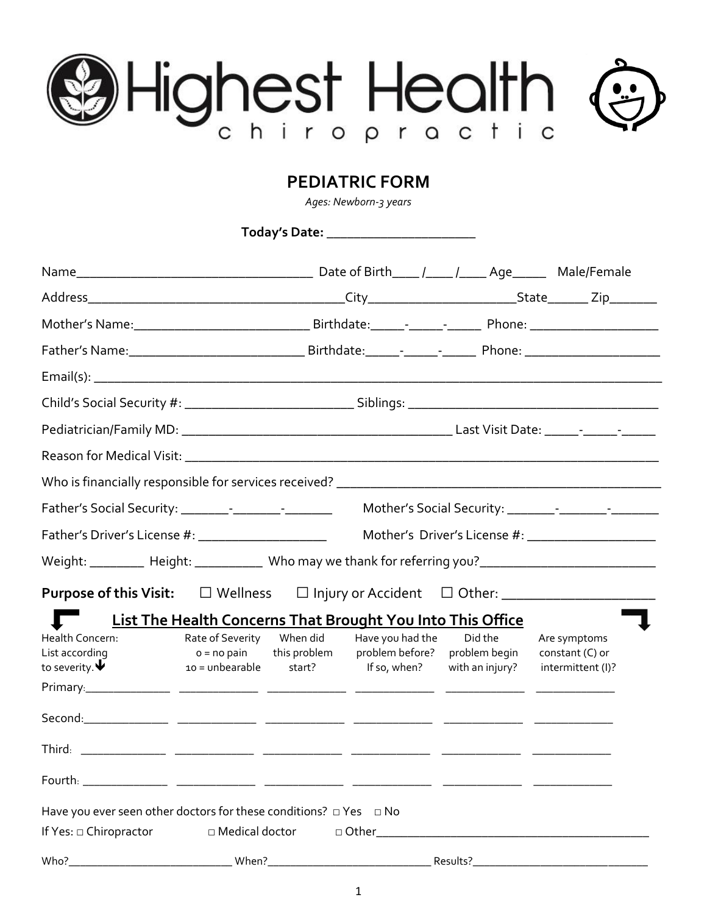# Highest Health

# **PEDIATRIC FORM**

*Ages: Newborn-3 years*

**Today's Date:** \_\_\_\_\_\_\_\_\_\_\_\_\_\_\_\_\_\_\_\_\_\_

| Father's Driver's License #: _______________________                                                                                                                                                                                                                                                     |                                                               |                        |                                                                                                                                                                                                                                |                                             | Mother's Driver's License #: _________________________ |
|----------------------------------------------------------------------------------------------------------------------------------------------------------------------------------------------------------------------------------------------------------------------------------------------------------|---------------------------------------------------------------|------------------------|--------------------------------------------------------------------------------------------------------------------------------------------------------------------------------------------------------------------------------|---------------------------------------------|--------------------------------------------------------|
| Weight: __________ Height: _____________ Who may we thank for referring you? _____________________________                                                                                                                                                                                               |                                                               |                        |                                                                                                                                                                                                                                |                                             |                                                        |
|                                                                                                                                                                                                                                                                                                          |                                                               |                        |                                                                                                                                                                                                                                |                                             |                                                        |
|                                                                                                                                                                                                                                                                                                          |                                                               |                        | <b>List The Health Concerns That Brought You Into This Office</b>                                                                                                                                                              |                                             |                                                        |
| Health Concern:<br>List according<br>to severity. $\blacktriangledown$<br>Primary. 2008. 2009. 2009. 2009. 2009. 2009. 2009. 2009. 2009. 2009. 2009. 2009. 2009. 2009. 2009. 2009. 2009. 2009. 2009. 2009. 2009. 2009. 2009. 2009. 2009. 2009. 2009. 2009. 2009. 2009. 2009. 2009. 2009. 2009. 2009. 200 | Rate of Severity When did<br>$o = no$ pain<br>10 = unbearable | this problem<br>start? | Have you had the<br>problem before?<br>If so, when?                                                                                                                                                                            | Did the<br>problem begin<br>with an injury? | Are symptoms<br>constant $(C)$ or<br>intermittent (I)? |
|                                                                                                                                                                                                                                                                                                          |                                                               |                        |                                                                                                                                                                                                                                |                                             |                                                        |
|                                                                                                                                                                                                                                                                                                          |                                                               |                        |                                                                                                                                                                                                                                |                                             |                                                        |
| Fourth: $\frac{1}{1}$                                                                                                                                                                                                                                                                                    |                                                               |                        |                                                                                                                                                                                                                                |                                             |                                                        |
| Have you ever seen other doctors for these conditions? $\Box$ Yes $\Box$ No                                                                                                                                                                                                                              |                                                               |                        |                                                                                                                                                                                                                                |                                             |                                                        |
| If Yes: $\Box$ Chiropractor                                                                                                                                                                                                                                                                              | □ Medical doctor                                              |                        | of Other and the contract of the contract of the contract of the contract of the contract of the contract of the contract of the contract of the contract of the contract of the contract of the contract of the contract of t |                                             |                                                        |
| Who?_                                                                                                                                                                                                                                                                                                    | When?_                                                        |                        |                                                                                                                                                                                                                                | Results?_                                   |                                                        |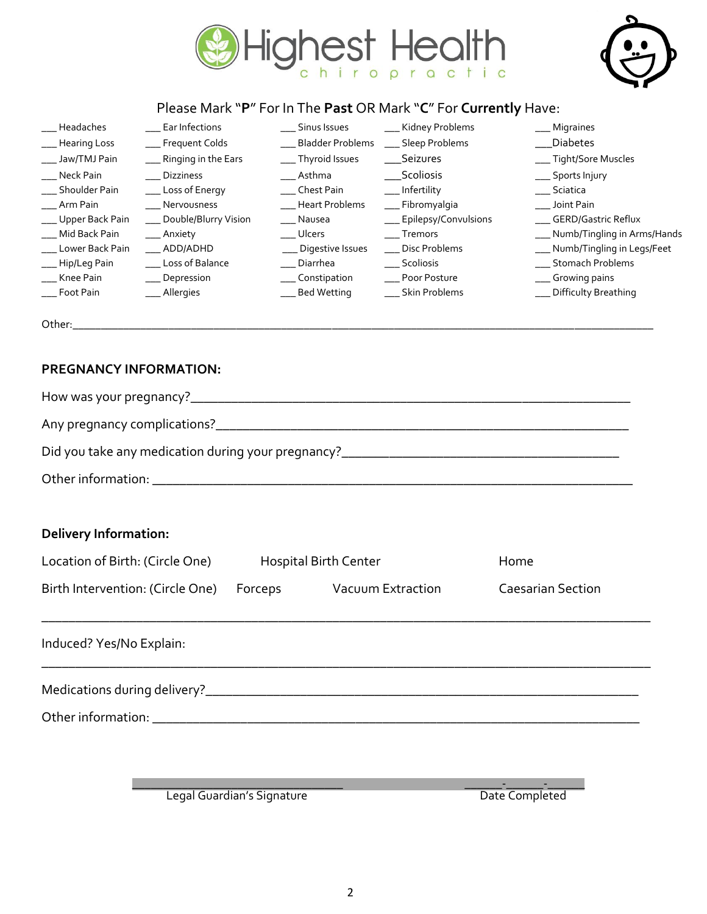



### Please Mark "**P**" For In The **Past** OR Mark "**C**" For **Currently** Have:

\_\_\_ Headaches \_\_\_ Ear Infections \_\_\_ Sinus Issues \_\_\_ Kidney Problems \_\_\_ Migraines \_\_\_ Hearing Loss \_\_\_\_\_\_ Frequent Colds \_\_\_\_\_\_\_\_\_\_\_\_\_ Bladder Problems \_\_\_\_ Sleep Problems \_\_\_\_\_\_\_\_\_\_\_\_\_\_\_\_Diabetes \_\_\_ Jaw/TMJ Pain \_\_\_\_ Ringing in the Ears \_\_\_\_\_\_\_ Thyroid Issues \_\_\_\_\_\_Seizures \_\_\_\_\_\_\_\_\_\_\_\_\_\_\_\_\_\_\_\_\_\_\_\_Tight/Sore Muscles \_\_\_ Neck Pain \_\_\_ Dizziness \_\_\_ Asthma \_\_\_Scoliosis \_\_\_ Sports Injury \_\_\_ Shoulder Pain \_\_\_ Loss of Energy \_\_\_ Chest Pain \_\_\_ Infertility \_\_\_ Sciatica \_\_\_ Arm Pain \_\_\_\_ \_\_\_\_ Nervousness \_\_\_\_\_ \_\_\_\_\_ Heart Problems \_\_\_\_\_ Fibromyalgia \_\_\_\_\_\_\_\_\_ \_\_\_\_\_\_ Joint Pain \_\_\_ Upper Back Pain \_\_\_ Double/Blurry Vision \_\_\_ Nausea \_\_\_ Epilepsy/Convulsions \_\_\_ GERD/Gastric Reflux \_\_\_ Mid Back Pain \_\_\_ Anxiety \_\_\_ Ulcers \_\_\_ Tremors \_\_\_ Numb/Tingling in Arms/Hands \_\_\_ Lower Back Pain \_\_\_ ADD/ADHD \_\_\_ Digestive Issues \_\_\_ Disc Problems \_\_\_ Numb/Tingling in Legs/Feet \_\_\_ Hip/Leg Pain \_\_\_ Loss of Balance \_\_\_ Diarrhea \_\_\_ Scoliosis \_\_\_ Stomach Problems \_\_\_ Knee Pain \_\_\_ Depression \_\_\_ Constipation \_\_\_ Poor Posture \_\_\_ Growing pains \_\_\_ Foot Pain \_\_\_ Allergies \_\_\_ Bed Wetting \_\_\_ Skin Problems \_\_\_ Difficulty Breathing

Other:\_\_\_\_\_\_\_\_\_\_\_\_\_\_\_\_\_\_\_\_\_\_\_\_\_\_\_\_\_\_\_\_\_\_\_\_\_\_\_\_\_\_\_\_\_\_\_\_\_\_\_\_\_\_\_\_\_\_\_\_\_\_\_\_\_\_\_\_\_\_\_\_\_\_\_\_\_\_\_\_\_\_\_\_\_\_\_\_\_\_\_\_\_\_\_\_\_\_\_\_\_\_\_

### **PREGNANCY INFORMATION:**

| <b>Delivery Information:</b>     |                              |                           |                          |  |  |
|----------------------------------|------------------------------|---------------------------|--------------------------|--|--|
| Location of Birth: (Circle One)  | <b>Hospital Birth Center</b> |                           | Home                     |  |  |
| Birth Intervention: (Circle One) |                              | Forceps Vacuum Extraction | <b>Caesarian Section</b> |  |  |
| Induced? Yes/No Explain:         |                              |                           |                          |  |  |
|                                  |                              |                           |                          |  |  |
|                                  |                              |                           |                          |  |  |
|                                  |                              |                           |                          |  |  |

Legal Guardian's Signature and a state of the Completed Date Completed

\_\_\_\_\_\_\_\_\_\_\_\_\_\_\_\_\_\_\_\_\_\_\_\_\_\_\_\_\_\_\_\_\_\_ \_\_\_\_\_\_-\_\_\_\_\_\_-\_\_\_\_\_\_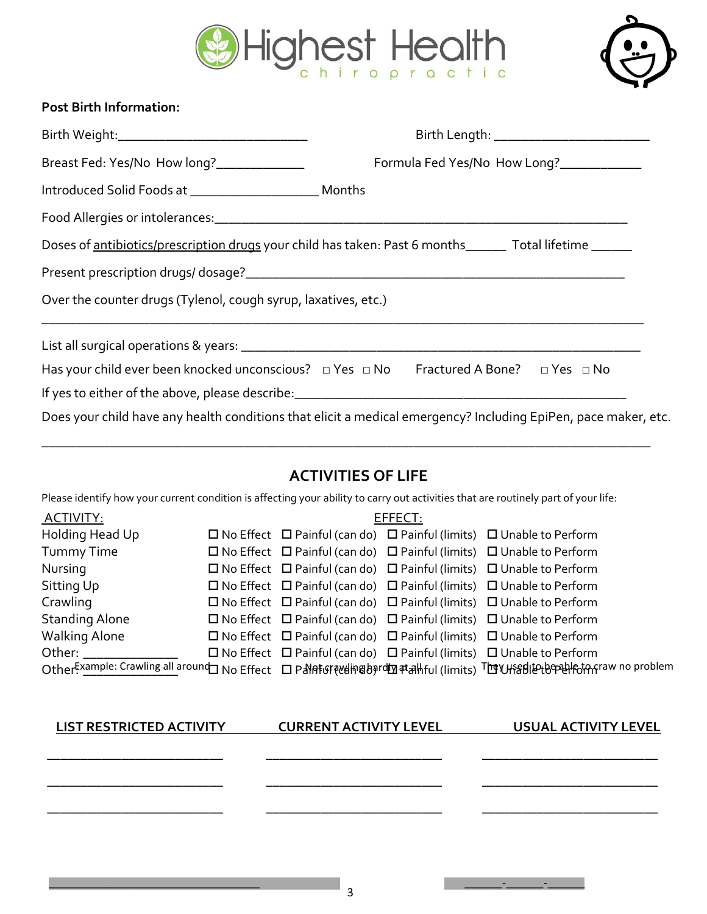



### **Post Birth Information:**

|                                                                | Birth Length: __________________________                                                                       |
|----------------------------------------------------------------|----------------------------------------------------------------------------------------------------------------|
| Breast Fed: Yes/No How long?_______________                    | Formula Fed Yes/No How Long?_____________                                                                      |
|                                                                |                                                                                                                |
|                                                                |                                                                                                                |
|                                                                | Doses of antibiotics/prescription drugs your child has taken: Past 6 months______ Total lifetime ______        |
|                                                                |                                                                                                                |
| Over the counter drugs (Tylenol, cough syrup, laxatives, etc.) |                                                                                                                |
|                                                                |                                                                                                                |
|                                                                | Has your child ever been knocked unconscious? $\Box$ Yes $\Box$ No Fractured A Bone? $\Box$ Yes $\Box$ No      |
|                                                                |                                                                                                                |
|                                                                | Does your child have any health conditions that elicit a medical emergency? Including EpiPen, pace maker, etc. |

# **ACTIVITIES OF LIFE**

\_\_\_\_\_\_\_\_\_\_\_\_\_\_\_\_\_\_\_\_\_\_\_\_\_\_\_\_\_\_\_\_\_\_\_\_\_\_\_\_\_\_\_\_\_\_\_\_\_\_\_\_\_\_\_\_\_\_\_\_\_\_\_\_\_\_\_\_\_\_\_\_\_\_\_\_\_\_\_\_\_\_\_\_\_\_\_\_\_\_

Please identify how your current condition is affecting your ability to carry out activities that are routinely part of your life:

| ACTIVITY:                       | EFFECT: |                               |  |                                                                                                                              |
|---------------------------------|---------|-------------------------------|--|------------------------------------------------------------------------------------------------------------------------------|
| Holding Head Up                 |         |                               |  | $\Box$ No Effect $\Box$ Painful (can do) $\Box$ Painful (limits) $\Box$ Unable to Perform                                    |
| <b>Tummy Time</b>               |         |                               |  | $\Box$ No Effect $\Box$ Painful (can do) $\Box$ Painful (limits) $\Box$ Unable to Perform                                    |
| Nursing                         |         |                               |  | $\Box$ No Effect $\Box$ Painful (can do) $\Box$ Painful (limits) $\Box$ Unable to Perform                                    |
| Sitting Up                      |         |                               |  | $\Box$ No Effect $\Box$ Painful (can do) $\Box$ Painful (limits) $\Box$ Unable to Perform                                    |
| Crawling                        |         |                               |  | $\Box$ No Effect $\Box$ Painful (can do) $\Box$ Painful (limits) $\Box$ Unable to Perform                                    |
| <b>Standing Alone</b>           |         |                               |  | $\Box$ No Effect $\Box$ Painful (can do) $\Box$ Painful (limits) $\Box$ Unable to Perform                                    |
| <b>Walking Alone</b>            |         |                               |  | $\Box$ No Effect $\Box$ Painful (can do) $\Box$ Painful (limits) $\Box$ Unable to Perform                                    |
| Other:                          |         |                               |  | $\Box$ No Effect $\Box$ Painful (can do) $\Box$ Painful (limits) $\Box$ Unable to Perform                                    |
|                                 |         |                               |  | OtherExample: Crawling all around No Effect ロ P Nat Grawding bardma #all ful (limits) The UHS Bliet beneat Forman no problem |
|                                 |         |                               |  |                                                                                                                              |
|                                 |         |                               |  |                                                                                                                              |
| <b>LIST RESTRICTED ACTIVITY</b> |         | <b>CURRENT ACTIVITY LEVEL</b> |  | <b>USUAL ACTIVITY LEVEL</b>                                                                                                  |

\_\_\_\_\_\_\_\_\_\_\_\_\_\_\_\_\_\_\_\_\_\_\_\_\_\_ \_\_\_\_\_\_\_\_\_\_\_\_\_\_\_\_\_\_\_\_\_\_\_\_\_\_ \_\_\_\_\_\_\_\_\_\_\_\_\_\_\_\_\_\_\_\_\_\_\_\_\_\_

\_\_\_\_\_\_\_\_\_\_\_\_\_\_\_\_\_\_\_\_\_\_\_\_\_\_ \_\_\_\_\_\_\_\_\_\_\_\_\_\_\_\_\_\_\_\_\_\_\_\_\_\_ \_\_\_\_\_\_\_\_\_\_\_\_\_\_\_\_\_\_\_\_\_\_\_\_\_\_

\_\_\_\_\_\_\_\_\_\_\_\_\_\_\_\_\_\_\_\_\_\_\_\_\_\_ \_\_\_\_\_\_\_\_\_\_\_\_\_\_\_\_\_\_\_\_\_\_\_\_\_\_ \_\_\_\_\_\_\_\_\_\_\_\_\_\_\_\_\_\_\_\_\_\_\_\_\_\_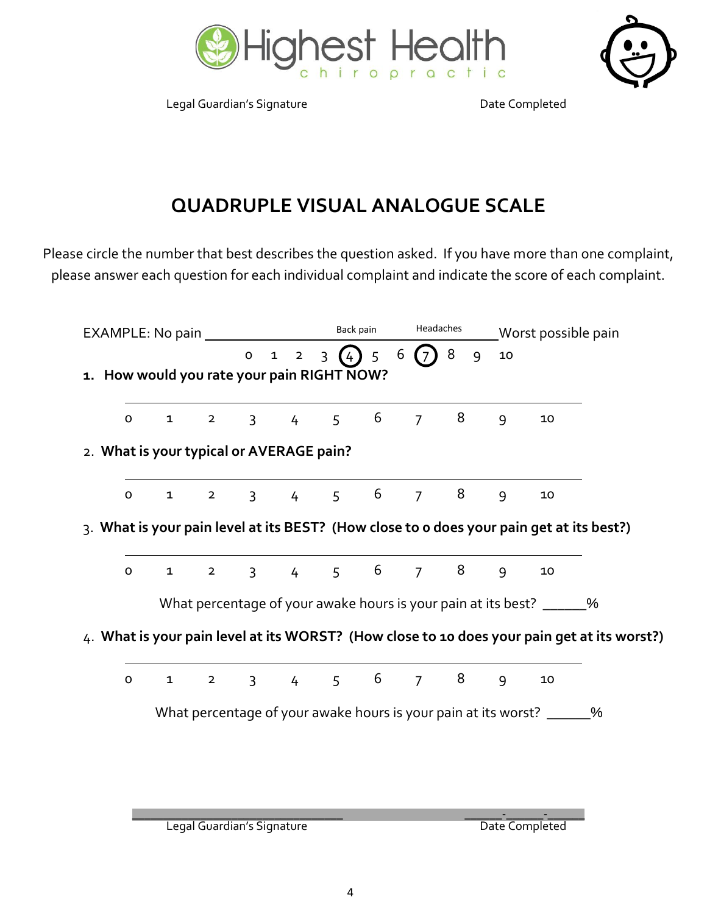

Legal Guardian's Signature **Date Completed** 



# **QUADRUPLE VISUAL ANALOGUE SCALE**

Please circle the number that best describes the question asked. If you have more than one complaint, please answer each question for each individual complaint and indicate the score of each complaint.

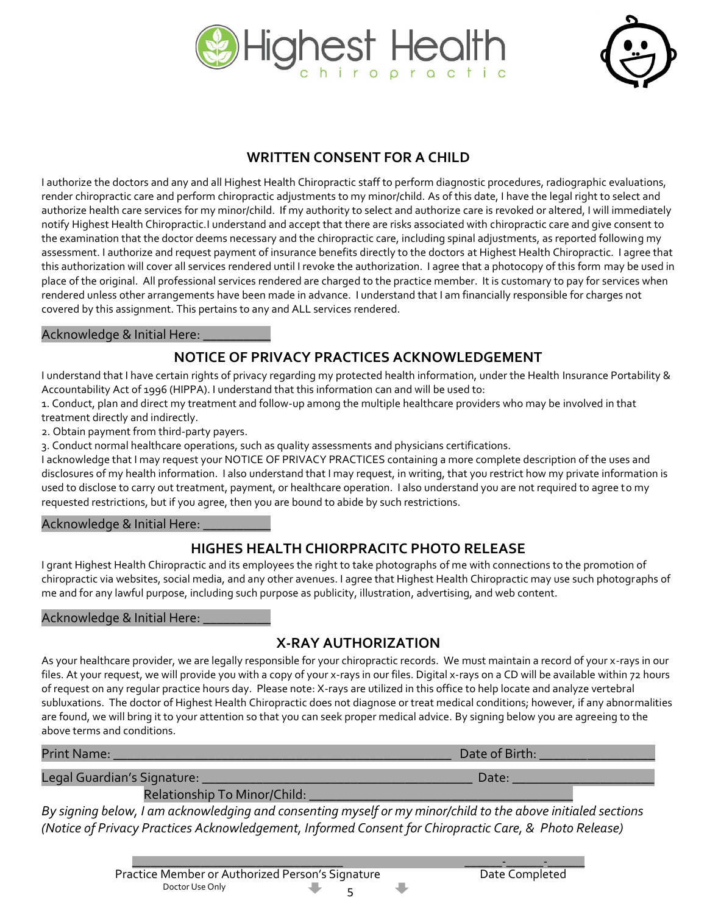



# **WRITTEN CONSENT FOR A CHILD**

I authorize the doctors and any and all Highest Health Chiropractic staff to perform diagnostic procedures, radiographic evaluations, render chiropractic care and perform chiropractic adjustments to my minor/child. As of this date, I have the legal right to select and authorize health care services for my minor/child. If my authority to select and authorize care is revoked or altered, I will immediately notify Highest Health Chiropractic.I understand and accept that there are risks associated with chiropractic care and give consent to the examination that the doctor deems necessary and the chiropractic care, including spinal adjustments, as reported following my assessment. I authorize and request payment of insurance benefits directly to the doctors at Highest Health Chiropractic. I agree that this authorization will cover all services rendered until I revoke the authorization. I agree that a photocopy of this form may be used in place of the original. All professional services rendered are charged to the practice member. It is customary to pay for services when rendered unless other arrangements have been made in advance. I understand that I am financially responsible for charges not covered by this assignment. This pertains to any and ALL services rendered.

### Acknowledge & Initial Here: \_\_\_\_\_\_\_\_\_\_

## **NOTICE OF PRIVACY PRACTICES ACKNOWLEDGEMENT**

I understand that I have certain rights of privacy regarding my protected health information, under the Health Insurance Portability & Accountability Act of 1996 (HIPPA). I understand that this information can and will be used to:

1. Conduct, plan and direct my treatment and follow-up among the multiple healthcare providers who may be involved in that treatment directly and indirectly.

2. Obtain payment from third-party payers.

3. Conduct normal healthcare operations, such as quality assessments and physicians certifications.

I acknowledge that I may request your NOTICE OF PRIVACY PRACTICES containing a more complete description of the uses and disclosures of my health information. I also understand that I may request, in writing, that you restrict how my private information is used to disclose to carry out treatment, payment, or healthcare operation. I also understand you are not required to agree to my requested restrictions, but if you agree, then you are bound to abide by such restrictions.

### Acknowledge & Initial Here: **We also also also also also**

### **HIGHES HEALTH CHIORPRACITC PHOTO RELEASE**

I grant Highest Health Chiropractic and its employees the right to take photographs of me with connections to the promotion of chiropractic via websites, social media, and any other avenues. I agree that Highest Health Chiropractic may use such photographs of me and for any lawful purpose, including such purpose as publicity, illustration, advertising, and web content.

### Acknowledge & Initial Here:

# **X-RAY AUTHORIZATION**

As your healthcare provider, we are legally responsible for your chiropractic records. We must maintain a record of your x-rays in our files. At your request, we will provide you with a copy of your x-rays in our files. Digital x-rays on a CD will be available within 72 hours of request on any regular practice hours day. Please note: X-rays are utilized in this office to help locate and analyze vertebral subluxations. The doctor of Highest Health Chiropractic does not diagnose or treat medical conditions; however, if any abnormalities are found, we will bring it to your attention so that you can seek proper medical advice. By signing below you are agreeing to the above terms and conditions.

| Print Name:                  | Date of Birth: |
|------------------------------|----------------|
| Legal Guardian's Signature:  | Date.          |
| Relationship To Minor/Child: |                |

*By signing below, I am acknowledging and consenting myself or my minor/child to the above initialed sections (Notice of Privacy Practices Acknowledgement, Informed Consent for Chiropractic Care, & Photo Release)*